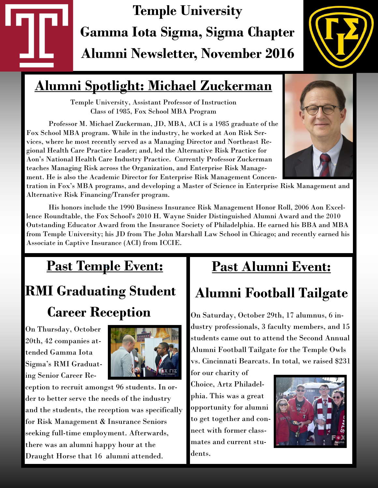# **Temple University Gamma Iota Sigma, Sigma Chapter Alumni Newsletter, November 2016**

## **Alumni Spotlight: Michael Zuckerman**

Temple University, Assistant Professor of Instruction Class of 1985, Fox School MBA Program

Professor M. Michael Zuckerman, JD, MBA, ACI is a 1985 graduate of the Fox School MBA program. While in the industry, he worked at Aon Risk Services, where he most recently served as a Managing Director and Northeast Regional Health Care Practice Leader; and, led the Alternative Risk Practice for Aon's National Health Care Industry Practice. Currently Professor Zuckerman teaches Managing Risk across the Organization, and Enterprise Risk Management. He is also the Academic Director for Enterprise Risk Management Concen-

tration in Fox's MBA programs, and developing a Master of Science in Enterprise Risk Management and Alternative Risk Financing/Transfer program.

His honors include the 1990 Business Insurance Risk Management Honor Roll, 2006 Aon Excellence Roundtable, the Fox School's 2010 H. Wayne Snider Distinguished Alumni Award and the 2010 Outstanding Educator Award from the Insurance Society of Philadelphia. He earned his BBA and MBA from Temple University; his JD from The John Marshall Law School in Chicago; and recently earned his Associate in Captive Insurance (ACI) from ICCIE.

## **Past Temple Event:** *<sup>=</sup>*

# **RMI Graduating Student Career Reception**

On Thursday, October 20th, 42 companies attended Gamma Iota Sigma's RMI Graduating Senior Career Re-



ception to recruit amongst 96 students. In order to better serve the needs of the industry and the students, the reception was specifically for Risk Management & Insurance Seniors seeking full-time employment. Afterwards, there was an alumni happy hour at the Draught Horse that 16 alumni attended.

### **Past Alumni Event:**

## **Alumni Football Tailgate**

On Saturday, October 29th, 17 alumnus, 6 industry professionals, 3 faculty members, and 15 students came out to attend the Second Annual Alumni Football Tailgate for the Temple Owls vs. Cincinnati Bearcats. In total, we raised \$231

for our charity of Choice, Artz Philadelphia. This was a great opportunity for alumni to get together and connect with former classmates and current students.